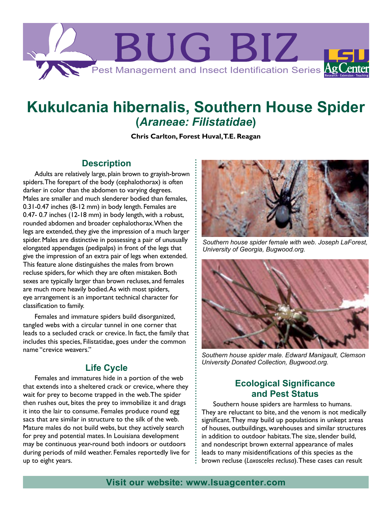

# **Kukulcania hibernalis, Southern House Spider (***Araneae: Filistatidae***)**

**Chris Carlton, Forest Huval, T.E. Reagan**

## **Description**

Adults are relatively large, plain brown to grayish-brown spiders. The forepart of the body (cephalothorax) is often darker in color than the abdomen to varying degrees. Males are smaller and much slenderer bodied than females, 0.31-0.47 inches (8-12 mm) in body length. Females are 0.47- 0.7 inches (12-18 mm) in body length, with a robust, rounded abdomen and broader cephalothorax. When the legs are extended, they give the impression of a much larger spider. Males are distinctive in possessing a pair of unusually elongated appendages (pedipalps) in front of the legs that give the impression of an extra pair of legs when extended. This feature alone distinguishes the males from brown recluse spiders, for which they are often mistaken. Both sexes are typically larger than brown recluses, and females are much more heavily bodied. As with most spiders, eye arrangement is an important technical character for classification to family.

Females and immature spiders build disorganized, tangled webs with a circular tunnel in one corner that leads to a secluded crack or crevice. In fact, the family that includes this species, Filistatidae, goes under the common name "crevice weavers."

## **Life Cycle**

Females and immatures hide in a portion of the web that extends into a sheltered crack or crevice, where they wait for prey to become trapped in the web. The spider then rushes out, bites the prey to immobilize it and drags it into the lair to consume. Females produce round egg sacs that are similar in structure to the silk of the web. Mature males do not build webs, but they actively search for prey and potential mates. In Louisiana development may be continuous year-round both indoors or outdoors during periods of mild weather. Females reportedly live for up to eight years.



*Southern house spider female with web. Joseph LaForest, University of Georgia, Bugwood.org.*



*Southern house spider male. Edward Manigault, Clemson University Donated Collection, Bugwood.org.*

## **Ecological Significance and Pest Status**

Southern house spiders are harmless to humans. They are reluctant to bite, and the venom is not medically significant. They may build up populations in unkept areas of houses, outbuildings, warehouses and similar structures in addition to outdoor habitats. The size, slender build, and nondescript brown external appearance of males leads to many misidentifications of this species as the brown recluse (*Loxosceles reclusa*). These cases can result